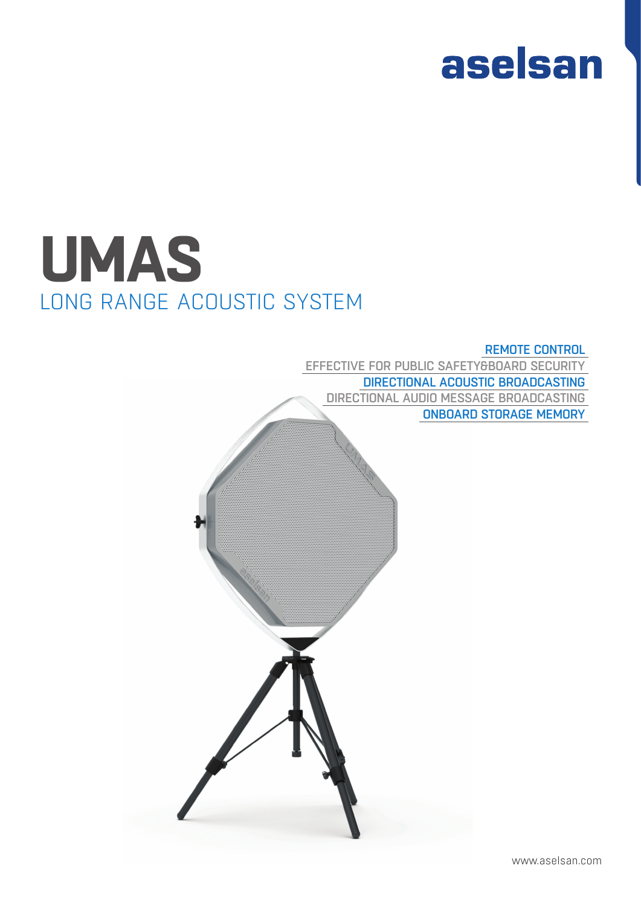

# **UMAS** LONG RANGE ACOUSTIC SYSTEM

### REMOTE CONTROL

EFFECTIVE FOR PUBLIC SAFETY&BOARD SECURITY DIRECTIONAL ACOUSTIC BROADCASTING DIRECTIONAL AUDIO MESSAGE BROADCASTING ONBOARD STORAGE MEMORY